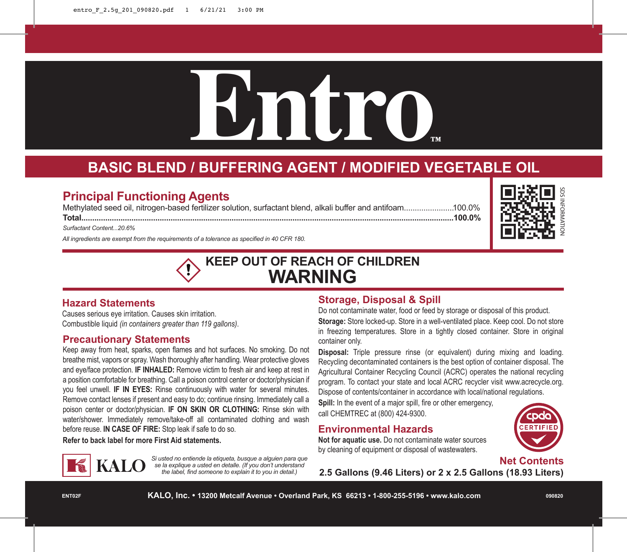# **Entro™**

# **BASIC BLEND / BUFFERING AGENT / MODIFIED VEGETABLE OIL**

# **Principal Functioning Agents**

Methylated seed oil, nitrogen-based fertilizer solution, surfactant blend, alkali buffer and antifoam.......................100.0%

**Total...........................................................................................................................................................................100.0%**

*Surfactant Content...20.6%*

*All ingredients are exempt from the requirements of a tolerance as specified in 40 CFR 180.*

# **KEEP OUT OF REACH OF CHILDREN WARNING**

#### **Hazard Statements**

Causes serious eye irritation. Causes skin irritation. Combustible liquid *(in containers greater than 119 gallons)*.

#### **Precautionary Statements**

Keep away from heat, sparks, open flames and hot surfaces. No smoking. Do not breathe mist, vapors or spray. Wash thoroughly after handling. Wear protective gloves and eye/face protection. **IF INHALED:** Remove victim to fresh air and keep at rest in a position comfortable for breathing. Call a poison control center or doctor/physician if you feel unwell. **IF IN EYES:** Rinse continuously with water for several minutes. Remove contact lenses if present and easy to do; continue rinsing. Immediately call a poison center or doctor/physician. **IF ON SKIN OR CLOTHING:** Rinse skin with water/shower. Immediately remove/take-off all contaminated clothing and wash before reuse. **IN CASE OF FIRE:** Stop leak if safe to do so.

**Refer to back label for more First Aid statements.**



*Si usted no entiende la etiqueta, busque a alguien para que se la explique a usted en detalle. (If you don't understand the label, find someone to explain it to you in detail.)*

## **Storage, Disposal & Spill**

Do not contaminate water, food or feed by storage or disposal of this product. **Storage:** Store locked-up. Store in a well-ventilated place. Keep cool. Do not store in freezing temperatures. Store in a tightly closed container. Store in original container only.

**Disposal:** Triple pressure rinse (or equivalent) during mixing and loading. Recycling decontaminated containers is the best option of container disposal. The Agricultural Container Recycling Council (ACRC) operates the national recycling program. To contact your state and local ACRC recycler visit www.acrecycle.org. Dispose of contents/container in accordance with local/national regulations.

**Spill:** In the event of a major spill, fire or other emergency, call CHEMTREC at (800) 424-9300.

# **Environmental Hazards**

**Not for aquatic use.** Do not contaminate water sources by cleaning of equipment or disposal of wastewaters.



**Net Contents**

**2.5 Gallons (9.46 Liters) or 2 x 2.5 Gallons (18.93 Liters)**

SDS INFORMATION